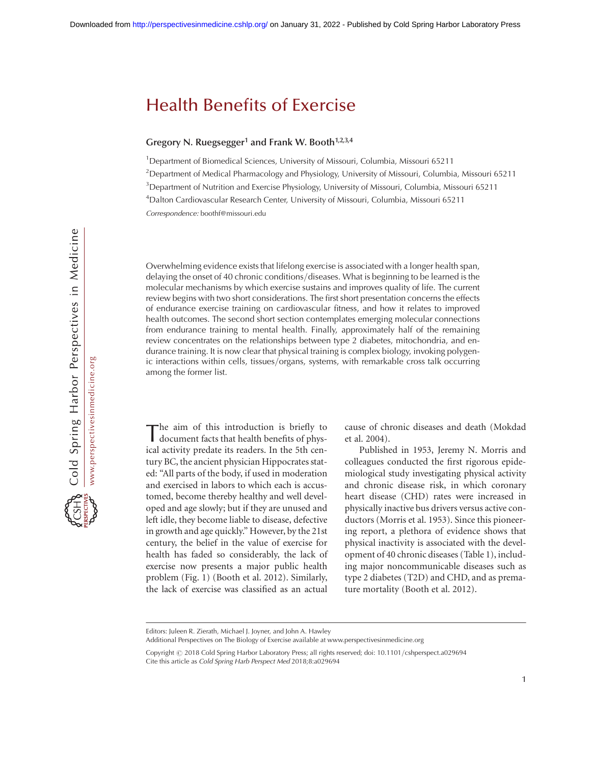#### Gregory N. Ruegsegger<sup>1</sup> and Frank W. Booth<sup>1,2,3,4</sup>

<sup>1</sup>Department of Biomedical Sciences, University of Missouri, Columbia, Missouri 65211 <sup>2</sup>Department of Medical Pharmacology and Physiology, University of Missouri, Columbia, Missouri 65211 <sup>3</sup> Department of Nutrition and Exercise Physiology, University of Missouri, Columbia, Missouri 65211 4 Dalton Cardiovascular Research Center, University of Missouri, Columbia, Missouri 65211 Correspondence: [boothf@missouri.edu](mailto:boothf@missouri.edu)

Overwhelming evidence exists that lifelong exercise is associated with a longer health span, delaying the onset of 40 chronic conditions/diseases. What is beginning to be learned is the molecular mechanisms by which exercise sustains and improves quality of life. The current review begins with two short considerations. The first short presentation concerns the effects of endurance exercise training on cardiovascular fitness, and how it relates to improved health outcomes. The second short section contemplates emerging molecular connections from endurance training to mental health. Finally, approximately half of the remaining review concentrates on the relationships between type 2 diabetes, mitochondria, and endurance training. It is now clear that physical training is complex biology, invoking polygenic interactions within cells, tissues/organs, systems, with remarkable cross talk occurring among the former list.

The aim of this introduction is briefly to document facts that health benefits of physical activity predate its readers. In the 5th century BC, the ancient physician Hippocrates stated: "All parts of the body, if used in moderation and exercised in labors to which each is accustomed, become thereby healthy and well developed and age slowly; but if they are unused and left idle, they become liable to disease, defective in growth and age quickly." However, by the 21st century, the belief in the value of exercise for health has faded so considerably, the lack of exercise now presents a major public health problem (Fig. 1) (Booth et al. 2012). Similarly, the lack of exercise was classified as an actual cause of chronic diseases and death (Mokdad et al. 2004).

Published in 1953, Jeremy N. Morris and colleagues conducted the first rigorous epidemiological study investigating physical activity and chronic disease risk, in which coronary heart disease (CHD) rates were increased in physically inactive bus drivers versus active conductors (Morris et al. 1953). Since this pioneering report, a plethora of evidence shows that physical inactivity is associated with the development of 40 chronic diseases (Table 1), including major noncommunicable diseases such as type 2 diabetes (T2D) and CHD, and as premature mortality (Booth et al. 2012).

Editors: Juleen R. Zierath, Michael J. Joyner, and John A. Hawley

Additional Perspectives on The Biology of Exercise available at [www.perspectivesinmedicine.org](http://www.perspectivesinmedicine.org)

Copyright @ [2018 Cold Spring Harbor Laboratory Press; all rights reserved;](http://www.perspectivesinmedicine.org/site/misc/terms.xhtml) doi: 10.1101/cshperspect.a029694 Cite this article as Cold Spring Harb Perspect Med 2018;8:a029694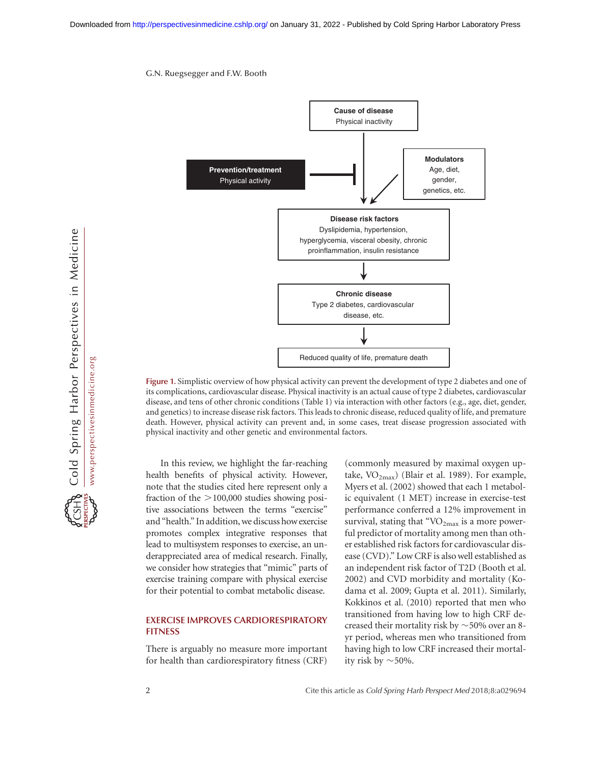

Figure 1. Simplistic overview of how physical activity can prevent the development of type 2 diabetes and one of its complications, cardiovascular disease. Physical inactivity is an actual cause of type 2 diabetes, cardiovascular disease, and tens of other chronic conditions (Table 1) via interaction with other factors (e.g., age, diet, gender, and genetics) to increase disease risk factors. This leads to chronic disease, reduced quality of life, and premature death. However, physical activity can prevent and, in some cases, treat disease progression associated with physical inactivity and other genetic and environmental factors.

In this review, we highlight the far-reaching health benefits of physical activity. However, note that the studies cited here represent only a fraction of the  $>100,000$  studies showing positive associations between the terms "exercise" and "health." In addition, we discuss how exercise promotes complex integrative responses that lead to multisystem responses to exercise, an underappreciated area of medical research. Finally, we consider how strategies that "mimic" parts of exercise training compare with physical exercise for their potential to combat metabolic disease.

## EXERCISE IMPROVES CARDIORESPIRATORY **FITNESS**

There is arguably no measure more important for health than cardiorespiratory fitness (CRF)

(commonly measured by maximal oxygen uptake,  $VO_{2max}$ ) (Blair et al. 1989). For example, Myers et al. (2002) showed that each 1 metabolic equivalent (1 MET) increase in exercise-test performance conferred a 12% improvement in survival, stating that " $VO<sub>2max</sub>$  is a more powerful predictor of mortality among men than other established risk factors for cardiovascular disease (CVD)." Low CRF is also well established as an independent risk factor of T2D (Booth et al. 2002) and CVD morbidity and mortality (Kodama et al. 2009; Gupta et al. 2011). Similarly, Kokkinos et al. (2010) reported that men who transitioned from having low to high CRF decreased their mortality risk by  $\sim$  50% over an 8yr period, whereas men who transitioned from having high to low CRF increased their mortality risk by  $\sim$  50%.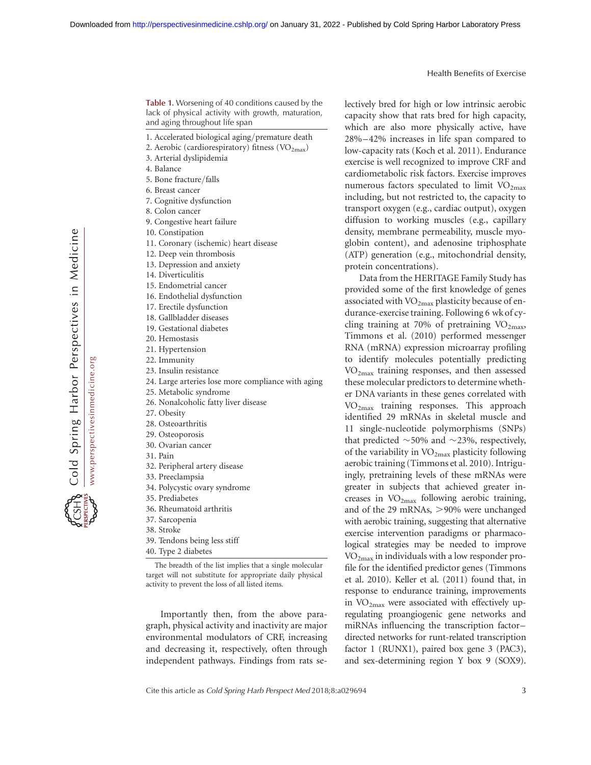Cold Spring Harbor Perspectives in Medicine www.perspectivesinmedicine.org www.perspectivesinmedicine.org

Table 1. Worsening of 40 conditions caused by the lack of physical activity with growth, maturation, and aging throughout life span

- 1. Accelerated biological aging/premature death
- 2. Aerobic (cardiorespiratory) fitness  $(\rm VO_{2max})$
- 3. Arterial dyslipidemia
- 4. Balance
- 5. Bone fracture/falls
- 6. Breast cancer
- 7. Cognitive dysfunction
- 8. Colon cancer
- 9. Congestive heart failure
- 10. Constipation
- 11. Coronary (ischemic) heart disease
- 12. Deep vein thrombosis
- 13. Depression and anxiety
- 14. Diverticulitis
- 15. Endometrial cancer
- 16. Endothelial dysfunction
- 17. Erectile dysfunction
- 18. Gallbladder diseases
- 19. Gestational diabetes
- 20. Hemostasis
- 21. Hypertension 22. Immunity
- 23. Insulin resistance
- 24. Large arteries lose more compliance with aging
- 25. Metabolic syndrome
- 26. Nonalcoholic fatty liver disease
- 27. Obesity
- 28. Osteoarthritis
- 29. Osteoporosis
- 30. Ovarian cancer
- 31. Pain
- 32. Peripheral artery disease
- 33. Preeclampsia
- 34. Polycystic ovary syndrome
- 35. Prediabetes
- 36. Rheumatoid arthritis
- 37. Sarcopenia
- 38. Stroke
- 39. Tendons being less stiff
- 40. Type 2 diabetes

The breadth of the list implies that a single molecular target will not substitute for appropriate daily physical activity to prevent the loss of all listed items.

Importantly then, from the above paragraph, physical activity and inactivity are major environmental modulators of CRF, increasing and decreasing it, respectively, often through independent pathways. Findings from rats selectively bred for high or low intrinsic aerobic capacity show that rats bred for high capacity, which are also more physically active, have 28% –42% increases in life span compared to low-capacity rats (Koch et al. 2011). Endurance exercise is well recognized to improve CRF and cardiometabolic risk factors. Exercise improves numerous factors speculated to limit  $VO<sub>2max</sub>$ including, but not restricted to, the capacity to transport oxygen (e.g., cardiac output), oxygen diffusion to working muscles (e.g., capillary density, membrane permeability, muscle myoglobin content), and adenosine triphosphate (ATP) generation (e.g., mitochondrial density, protein concentrations).

Data from the HERITAGE Family Study has provided some of the first knowledge of genes associated with  $VO<sub>2max</sub>$  plasticity because of endurance-exercise training. Following 6 wk of cycling training at 70% of pretraining  $VO<sub>2max</sub>$ , Timmons et al. (2010) performed messenger RNA (mRNA) expression microarray profiling to identify molecules potentially predicting VO2max training responses, and then assessed these molecular predictors to determine whether DNA variants in these genes correlated with  $VO<sub>2max</sub>$  training responses. This approach identified 29 mRNAs in skeletal muscle and 11 single-nucleotide polymorphisms (SNPs) that predicted  $\sim$  50% and  $\sim$  23%, respectively, of the variability in  $VO_{2max}$  plasticity following aerobic training (Timmons et al. 2010). Intriguingly, pretraining levels of these mRNAs were greater in subjects that achieved greater increases in  $VO<sub>2max</sub>$  following aerobic training, and of the 29 mRNAs,  $>90\%$  were unchanged with aerobic training, suggesting that alternative exercise intervention paradigms or pharmacological strategies may be needed to improve VO2max in individuals with a low responder profile for the identified predictor genes (Timmons et al. 2010). Keller et al. (2011) found that, in response to endurance training, improvements in  $VO<sub>2max</sub>$  were associated with effectively upregulating proangiogenic gene networks and miRNAs influencing the transcription factor– directed networks for runt-related transcription factor 1 (RUNX1), paired box gene 3 (PAC3), and sex-determining region Y box 9 (SOX9).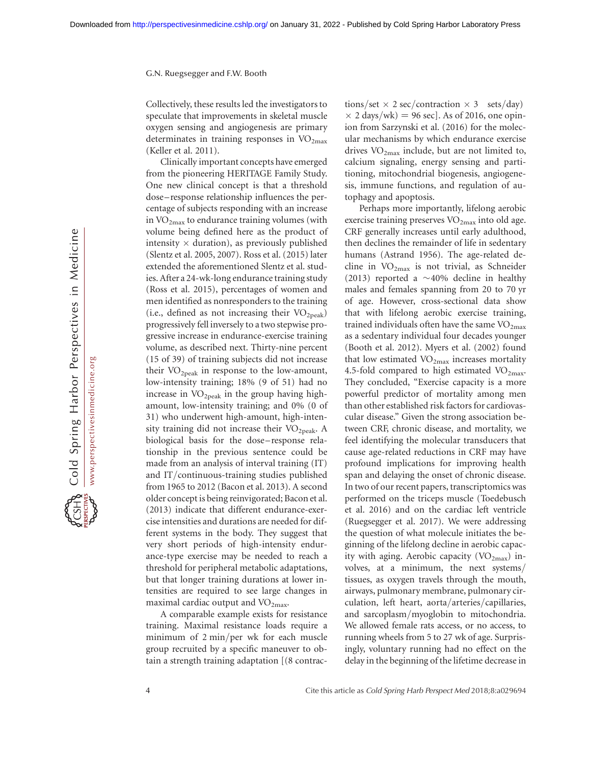Collectively, these results led the investigators to speculate that improvements in skeletal muscle oxygen sensing and angiogenesis are primary determinates in training responses in  $VO<sub>2max</sub>$ (Keller et al. 2011).

Clinically important concepts have emerged from the pioneering HERITAGE Family Study. One new clinical concept is that a threshold dose – response relationship influences the percentage of subjects responding with an increase in  $VO_{2max}$  to endurance training volumes (with volume being defined here as the product of intensity  $\times$  duration), as previously published (Slentz et al. 2005, 2007). Ross et al. (2015) later extended the aforementioned Slentz et al. studies. After a 24-wk-long endurance training study (Ross et al. 2015), percentages of women and men identified as nonresponders to the training (i.e., defined as not increasing their  $VO<sub>2peak</sub>$ ) progressively fell inversely to a two stepwise progressive increase in endurance-exercise training volume, as described next. Thirty-nine percent (15 of 39) of training subjects did not increase their  $VO<sub>2peak</sub>$  in response to the low-amount, low-intensity training; 18% (9 of 51) had no increase in  $VO_{2\text{peak}}$  in the group having highamount, low-intensity training; and 0% (0 of 31) who underwent high-amount, high-intensity training did not increase their  $VO<sub>2peak</sub>$ . A biological basis for the dose-response relationship in the previous sentence could be made from an analysis of interval training (IT) and IT/continuous-training studies published from 1965 to 2012 (Bacon et al. 2013). A second older concept is being reinvigorated; Bacon et al. (2013) indicate that different endurance-exercise intensities and durations are needed for different systems in the body. They suggest that very short periods of high-intensity endurance-type exercise may be needed to reach a threshold for peripheral metabolic adaptations, but that longer training durations at lower intensities are required to see large changes in maximal cardiac output and  $VO<sub>2max</sub>$ .

A comparable example exists for resistance training. Maximal resistance loads require a minimum of 2 min/per wk for each muscle group recruited by a specific maneuver to obtain a strength training adaptation [(8 contrac-

tions/set  $\times$  2 sec/contraction  $\times$  3 sets/day)  $\times$  2 days/wk) = 96 sec]. As of 2016, one opinion from Sarzynski et al. (2016) for the molecular mechanisms by which endurance exercise drives  $VO_{2max}$  include, but are not limited to, calcium signaling, energy sensing and partitioning, mitochondrial biogenesis, angiogenesis, immune functions, and regulation of autophagy and apoptosis.

Perhaps more importantly, lifelong aerobic exercise training preserves VO<sub>2max</sub> into old age. CRF generally increases until early adulthood, then declines the remainder of life in sedentary humans (Astrand 1956). The age-related decline in  $VO_{2max}$  is not trivial, as Schneider (2013) reported a  $\sim$  40% decline in healthy males and females spanning from 20 to 70 yr of age. However, cross-sectional data show that with lifelong aerobic exercise training, trained individuals often have the same  $VO<sub>2max</sub>$ </sub> as a sedentary individual four decades younger (Booth et al. 2012). Myers et al. (2002) found that low estimated  $VO<sub>2max</sub>$  increases mortality 4.5-fold compared to high estimated  $VO<sub>2max</sub>$ . They concluded, "Exercise capacity is a more powerful predictor of mortality among men than other established risk factors for cardiovascular disease." Given the strong association between CRF, chronic disease, and mortality, we feel identifying the molecular transducers that cause age-related reductions in CRF may have profound implications for improving health span and delaying the onset of chronic disease. In two of our recent papers, transcriptomics was performed on the triceps muscle (Toedebusch et al. 2016) and on the cardiac left ventricle (Ruegsegger et al. 2017). We were addressing the question of what molecule initiates the beginning of the lifelong decline in aerobic capacity with aging. Aerobic capacity ( $VO_{2max}$ ) involves, at a minimum, the next systems/ tissues, as oxygen travels through the mouth, airways, pulmonary membrane, pulmonary circulation, left heart, aorta/arteries/capillaries, and sarcoplasm/myoglobin to mitochondria. We allowed female rats access, or no access, to running wheels from 5 to 27 wk of age. Surprisingly, voluntary running had no effect on the delay in the beginning of the lifetime decrease in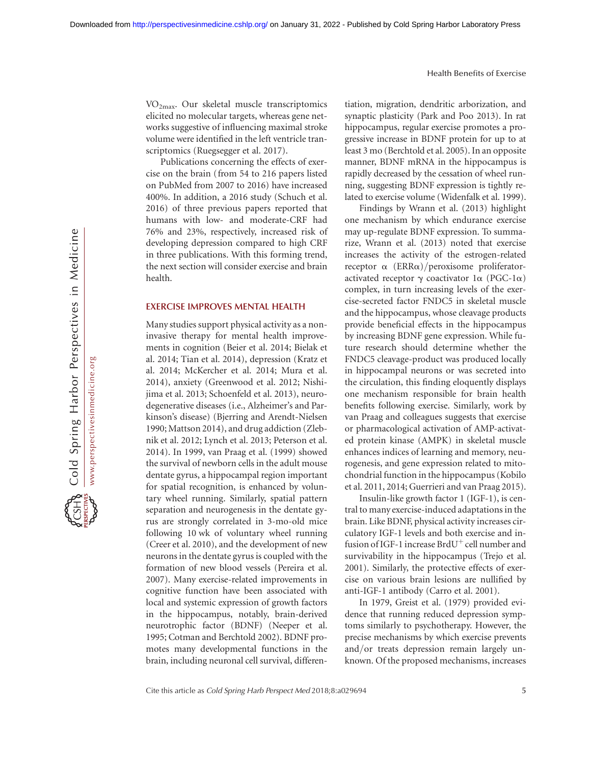Cold Spring Harbor Perspectives in Medicine www.perspectivesinmedicine.org www.perspectivesinmedicine.org

VO2max. Our skeletal muscle transcriptomics elicited no molecular targets, whereas gene networks suggestive of influencing maximal stroke volume were identified in the left ventricle transcriptomics (Ruegsegger et al. 2017).

Publications concerning the effects of exercise on the brain (from 54 to 216 papers listed on PubMed from 2007 to 2016) have increased 400%. In addition, a 2016 study (Schuch et al. 2016) of three previous papers reported that humans with low- and moderate-CRF had 76% and 23%, respectively, increased risk of developing depression compared to high CRF in three publications. With this forming trend, the next section will consider exercise and brain health.

#### EXERCISE IMPROVES MENTAL HEALTH

Many studies support physical activity as a noninvasive therapy for mental health improvements in cognition (Beier et al. 2014; Bielak et al. 2014; Tian et al. 2014), depression (Kratz et al. 2014; McKercher et al. 2014; Mura et al. 2014), anxiety (Greenwood et al. 2012; Nishijima et al. 2013; Schoenfeld et al. 2013), neurodegenerative diseases (i.e., Alzheimer's and Parkinson's disease) (Bjerring and Arendt-Nielsen 1990; Mattson 2014), and drug addiction (Zlebnik et al. 2012; Lynch et al. 2013; Peterson et al. 2014). In 1999, van Praag et al. (1999) showed the survival of newborn cells in the adult mouse dentate gyrus, a hippocampal region important for spatial recognition, is enhanced by voluntary wheel running. Similarly, spatial pattern separation and neurogenesis in the dentate gyrus are strongly correlated in 3-mo-old mice following 10 wk of voluntary wheel running (Creer et al. 2010), and the development of new neurons in the dentate gyrus is coupled with the formation of new blood vessels (Pereira et al. 2007). Many exercise-related improvements in cognitive function have been associated with local and systemic expression of growth factors in the hippocampus, notably, brain-derived neurotrophic factor (BDNF) (Neeper et al. 1995; Cotman and Berchtold 2002). BDNF promotes many developmental functions in the brain, including neuronal cell survival, differentiation, migration, dendritic arborization, and synaptic plasticity (Park and Poo 2013). In rat hippocampus, regular exercise promotes a progressive increase in BDNF protein for up to at least 3 mo (Berchtold et al. 2005). In an opposite manner, BDNF mRNA in the hippocampus is rapidly decreased by the cessation of wheel running, suggesting BDNF expression is tightly related to exercise volume (Widenfalk et al. 1999).

Findings by Wrann et al. (2013) highlight one mechanism by which endurance exercise may up-regulate BDNF expression. To summarize, Wrann et al. (2013) noted that exercise increases the activity of the estrogen-related receptor  $\alpha$  (ERR $\alpha$ )/peroxisome proliferatoractivated receptor  $\gamma$  coactivator 1 $\alpha$  (PGC-1 $\alpha$ ) complex, in turn increasing levels of the exercise-secreted factor FNDC5 in skeletal muscle and the hippocampus, whose cleavage products provide beneficial effects in the hippocampus by increasing BDNF gene expression. While future research should determine whether the FNDC5 cleavage-product was produced locally in hippocampal neurons or was secreted into the circulation, this finding eloquently displays one mechanism responsible for brain health benefits following exercise. Similarly, work by van Praag and colleagues suggests that exercise or pharmacological activation of AMP-activated protein kinase (AMPK) in skeletal muscle enhances indices of learning and memory, neurogenesis, and gene expression related to mitochondrial function in the hippocampus (Kobilo et al. 2011, 2014; Guerrieri and van Praag 2015).

Insulin-like growth factor 1 (IGF-1), is central to many exercise-induced adaptations in the brain. Like BDNF, physical activity increases circulatory IGF-1 levels and both exercise and infusion of IGF-1 increase  $BrdU^+$  cell number and survivability in the hippocampus (Trejo et al. 2001). Similarly, the protective effects of exercise on various brain lesions are nullified by anti-IGF-1 antibody (Carro et al. 2001).

In 1979, Greist et al. (1979) provided evidence that running reduced depression symptoms similarly to psychotherapy. However, the precise mechanisms by which exercise prevents and/or treats depression remain largely unknown. Of the proposed mechanisms, increases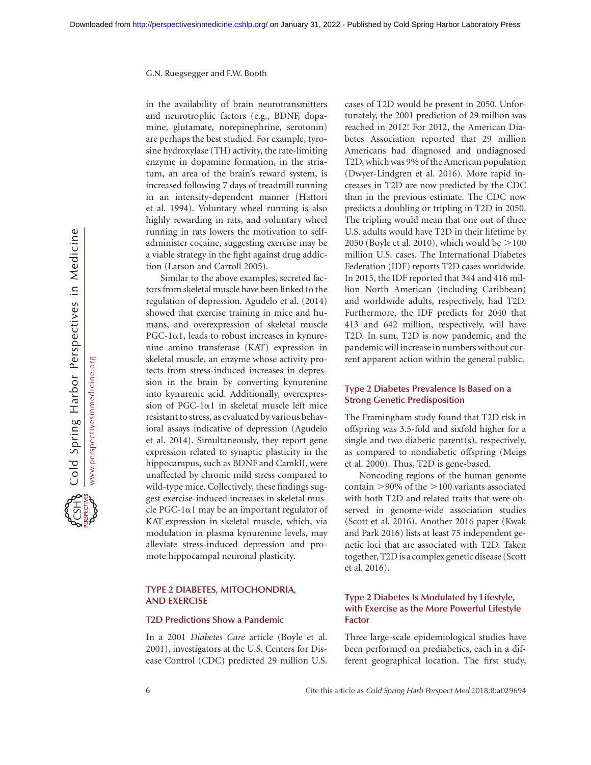in the availability of brain neurotransmitters and neurotrophic factors (e.g., BDNF, dopamine, glutamate, norepinephrine, serotonin) are perhaps the best studied. For example, tyrosine hydroxylase (TH) activity, the rate-limiting enzyme in dopamine formation, in the striatum, an area of the brain's reward system, is increased following 7 days of treadmill running in an intensity-dependent manner (Hattori et al. 1994). Voluntary wheel running is also highly rewarding in rats, and voluntary wheel running in rats lowers the motivation to selfadminister cocaine, suggesting exercise may be a viable strategy in the fight against drug addiction (Larson and Carroll 2005).

Similar to the above examples, secreted factors from skeletal muscle have been linked to the regulation of depression. Agudelo et al. (2014) showed that exercise training in mice and humans, and overexpression of skeletal muscle  $PGC-1\alpha1$ , leads to robust increases in kynurenine amino transferase (KAT) expression in skeletal muscle, an enzyme whose activity protects from stress-induced increases in depression in the brain by converting kynurenine into kynurenic acid. Additionally, overexpression of PGC-1 $\alpha$ 1 in skeletal muscle left mice resistant to stress, as evaluated by various behavioral assays indicative of depression (Agudelo et al. 2014). Simultaneously, they report gene expression related to synaptic plasticity in the hippocampus, such as BDNF and CamkII, were unaffected by chronic mild stress compared to wild-type mice. Collectively, these findings suggest exercise-induced increases in skeletal muscle PGC-1 $\alpha$ 1 may be an important regulator of KAT expression in skeletal muscle, which, via modulation in plasma kynurenine levels, may alleviate stress-induced depression and promote hippocampal neuronal plasticity.

## TYPE 2 DIABETES, MITOCHONDRIA, AND EXERCISE

#### T2D Predictions Show a Pandemic

In a 2001 Diabetes Care article (Boyle et al. 2001), investigators at the U.S. Centers for Disease Control (CDC) predicted 29 million U.S. cases of T2D would be present in 2050. Unfortunately, the 2001 prediction of 29 million was reached in 2012! For 2012, the American Diabetes Association reported that 29 million Americans had diagnosed and undiagnosed T2D, which was 9% of the American population (Dwyer-Lindgren et al. 2016). More rapid increases in T2D are now predicted by the CDC than in the previous estimate. The CDC now predicts a doubling or tripling in T2D in 2050. The tripling would mean that one out of three U.S. adults would have T2D in their lifetime by 2050 (Boyle et al. 2010), which would be  $>$  100 million U.S. cases. The International Diabetes Federation (IDF) reports T2D cases worldwide. In 2015, the IDF reported that 344 and 416 million North American (including Caribbean) and worldwide adults, respectively, had T2D. Furthermore, the IDF predicts for 2040 that 413 and 642 million, respectively, will have T2D. In sum, T2D is now pandemic, and the pandemic will increase in numbers without current apparent action within the general public.

## Type 2 Diabetes Prevalence Is Based on a Strong Genetic Predisposition

The Framingham study found that T2D risk in offspring was 3.5-fold and sixfold higher for a single and two diabetic parent(s), respectively, as compared to nondiabetic offspring (Meigs et al. 2000). Thus, T2D is gene-based.

Noncoding regions of the human genome contain  $>90\%$  of the  $>100$  variants associated with both T2D and related traits that were observed in genome-wide association studies (Scott et al. 2016). Another 2016 paper (Kwak and Park 2016) lists at least 75 independent genetic loci that are associated with T2D. Taken together, T2D is a complex genetic disease (Scott et al. 2016).

## Type 2 Diabetes Is Modulated by Lifestyle, with Exercise as the More Powerful Lifestyle Factor

Three large-scale epidemiological studies have been performed on prediabetics, each in a different geographical location. The first study,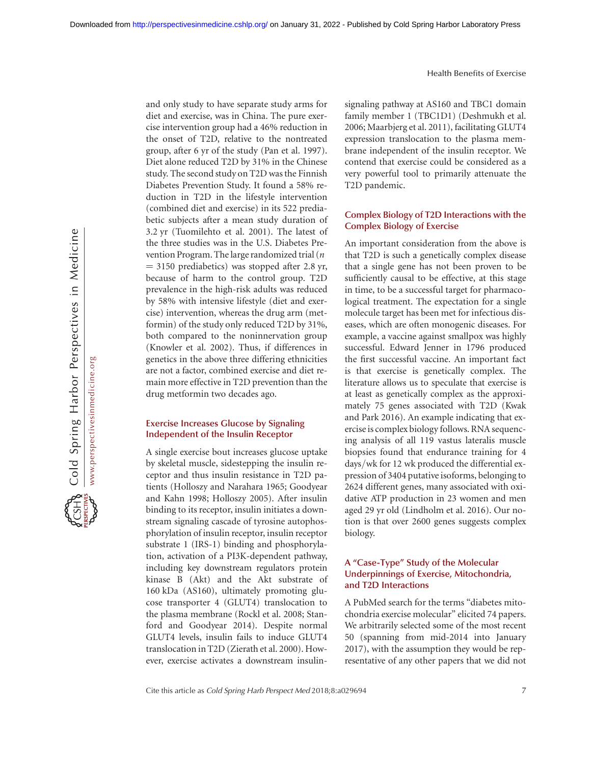and only study to have separate study arms for diet and exercise, was in China. The pure exercise intervention group had a 46% reduction in the onset of T2D, relative to the nontreated group, after 6 yr of the study (Pan et al. 1997). Diet alone reduced T2D by 31% in the Chinese study. The second study on T2D was the Finnish Diabetes Prevention Study. It found a 58% reduction in T2D in the lifestyle intervention (combined diet and exercise) in its 522 prediabetic subjects after a mean study duration of 3.2 yr (Tuomilehto et al. 2001). The latest of the three studies was in the U.S. Diabetes Prevention Program. The large randomized trial (n  $=$  3150 prediabetics) was stopped after 2.8 yr, because of harm to the control group. T2D prevalence in the high-risk adults was reduced by 58% with intensive lifestyle (diet and exercise) intervention, whereas the drug arm (metformin) of the study only reduced T2D by 31%, both compared to the noninnervation group (Knowler et al. 2002). Thus, if differences in genetics in the above three differing ethnicities are not a factor, combined exercise and diet remain more effective in T2D prevention than the drug metformin two decades ago.

#### Exercise Increases Glucose by Signaling Independent of the Insulin Receptor

A single exercise bout increases glucose uptake by skeletal muscle, sidestepping the insulin receptor and thus insulin resistance in T2D patients (Holloszy and Narahara 1965; Goodyear and Kahn 1998; Holloszy 2005). After insulin binding to its receptor, insulin initiates a downstream signaling cascade of tyrosine autophosphorylation of insulin receptor, insulin receptor substrate 1 (IRS-1) binding and phosphorylation, activation of a PI3K-dependent pathway, including key downstream regulators protein kinase B (Akt) and the Akt substrate of 160 kDa (AS160), ultimately promoting glucose transporter 4 (GLUT4) translocation to the plasma membrane (Rockl et al. 2008; Stanford and Goodyear 2014). Despite normal GLUT4 levels, insulin fails to induce GLUT4 translocation in T2D (Zierath et al. 2000). However, exercise activates a downstream insulinsignaling pathway at AS160 and TBC1 domain family member 1 (TBC1D1) (Deshmukh et al. 2006; Maarbjerg et al. 2011), facilitating GLUT4 expression translocation to the plasma membrane independent of the insulin receptor. We contend that exercise could be considered as a very powerful tool to primarily attenuate the T2D pandemic.

## Complex Biology of T2D Interactions with the Complex Biology of Exercise

An important consideration from the above is that T2D is such a genetically complex disease that a single gene has not been proven to be sufficiently causal to be effective, at this stage in time, to be a successful target for pharmacological treatment. The expectation for a single molecule target has been met for infectious diseases, which are often monogenic diseases. For example, a vaccine against smallpox was highly successful. Edward Jenner in 1796 produced the first successful vaccine. An important fact is that exercise is genetically complex. The literature allows us to speculate that exercise is at least as genetically complex as the approximately 75 genes associated with T2D (Kwak and Park 2016). An example indicating that exercise is complex biology follows. RNA sequencing analysis of all 119 vastus lateralis muscle biopsies found that endurance training for 4 days/wk for 12 wk produced the differential expression of 3404 putative isoforms, belonging to 2624 different genes, many associated with oxidative ATP production in 23 women and men aged 29 yr old (Lindholm et al. 2016). Our notion is that over 2600 genes suggests complex biology.

## A "Case-Type" Study of the Molecular Underpinnings of Exercise, Mitochondria, and T2D Interactions

A PubMed search for the terms "diabetes mitochondria exercise molecular" elicited 74 papers. We arbitrarily selected some of the most recent 50 (spanning from mid-2014 into January 2017), with the assumption they would be representative of any other papers that we did not

Cite this article as Cold Spring Harb Perspect Med 2018;8:a029694 7 7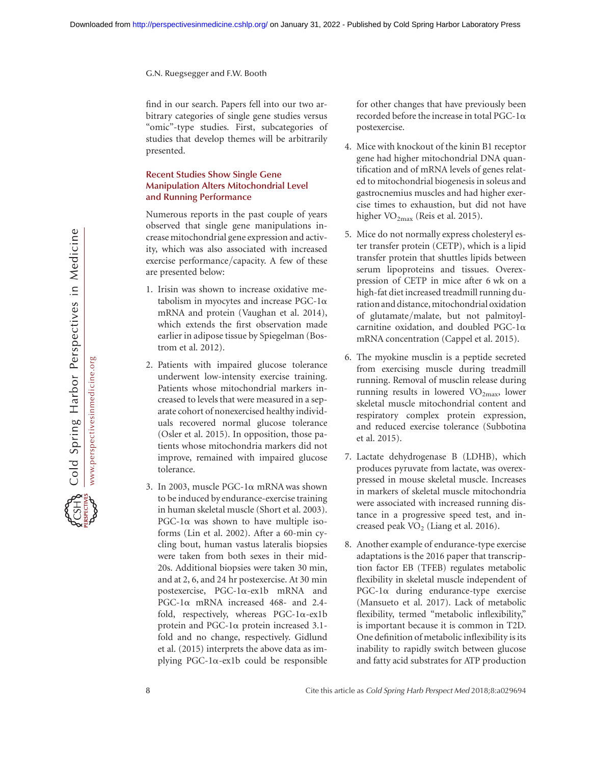find in our search. Papers fell into our two arbitrary categories of single gene studies versus "omic"-type studies. First, subcategories of studies that develop themes will be arbitrarily presented.

## Recent Studies Show Single Gene Manipulation Alters Mitochondrial Level and Running Performance

Numerous reports in the past couple of years observed that single gene manipulations increase mitochondrial gene expression and activity, which was also associated with increased exercise performance/capacity. A few of these are presented below:

- 1. Irisin was shown to increase oxidative metabolism in myocytes and increase PGC-1 $\alpha$ mRNA and protein (Vaughan et al. 2014), which extends the first observation made earlier in adipose tissue by Spiegelman (Bostrom et al. 2012).
- 2. Patients with impaired glucose tolerance underwent low-intensity exercise training. Patients whose mitochondrial markers increased to levels that were measured in a separate cohort of nonexercised healthy individuals recovered normal glucose tolerance (Osler et al. 2015). In opposition, those patients whose mitochondria markers did not improve, remained with impaired glucose tolerance.
- 3. In 2003, muscle PGC-1 $\alpha$  mRNA was shown to be induced by endurance-exercise training in human skeletal muscle (Short et al. 2003).  $PGC-1\alpha$  was shown to have multiple isoforms (Lin et al. 2002). After a 60-min cycling bout, human vastus lateralis biopsies were taken from both sexes in their mid-20s. Additional biopsies were taken 30 min, and at 2, 6, and 24 hr postexercise. At 30 min postexercise, PGC-1a-ex1b mRNA and PGC-1a mRNA increased 468- and 2.4 fold, respectively, whereas  $PGC-1\alpha$ -ex1b protein and PGC-1a protein increased 3.1 fold and no change, respectively. Gidlund et al. (2015) interprets the above data as implying PGC-1 $\alpha$ -ex1b could be responsible

for other changes that have previously been recorded before the increase in total PGC-1 $\alpha$ postexercise.

- 4. Mice with knockout of the kinin B1 receptor gene had higher mitochondrial DNA quantification and of mRNA levels of genes related to mitochondrial biogenesis in soleus and gastrocnemius muscles and had higher exercise times to exhaustion, but did not have higher  $VO_{2max}$  (Reis et al. 2015).
- 5. Mice do not normally express cholesteryl ester transfer protein (CETP), which is a lipid transfer protein that shuttles lipids between serum lipoproteins and tissues. Overexpression of CETP in mice after 6 wk on a high-fat diet increased treadmill running duration and distance, mitochondrial oxidation of glutamate/malate, but not palmitoylcarnitine oxidation, and doubled PGC-1 $\alpha$ mRNA concentration (Cappel et al. 2015).
- 6. The myokine musclin is a peptide secreted from exercising muscle during treadmill running. Removal of musclin release during running results in lowered  $VO<sub>2max</sub>$ , lower skeletal muscle mitochondrial content and respiratory complex protein expression, and reduced exercise tolerance (Subbotina et al. 2015).
- 7. Lactate dehydrogenase B (LDHB), which produces pyruvate from lactate, was overexpressed in mouse skeletal muscle. Increases in markers of skeletal muscle mitochondria were associated with increased running distance in a progressive speed test, and increased peak  $VO<sub>2</sub>$  (Liang et al. 2016).
- 8. Another example of endurance-type exercise adaptations is the 2016 paper that transcription factor EB (TFEB) regulates metabolic flexibility in skeletal muscle independent of  $PGC-1\alpha$  during endurance-type exercise (Mansueto et al. 2017). Lack of metabolic flexibility, termed "metabolic inflexibility," is important because it is common in T2D. One definition of metabolic inflexibility is its inability to rapidly switch between glucose and fatty acid substrates for ATP production

8 **Cite this article as Cold Spring Harb Perspect Med 2018;8:a029694**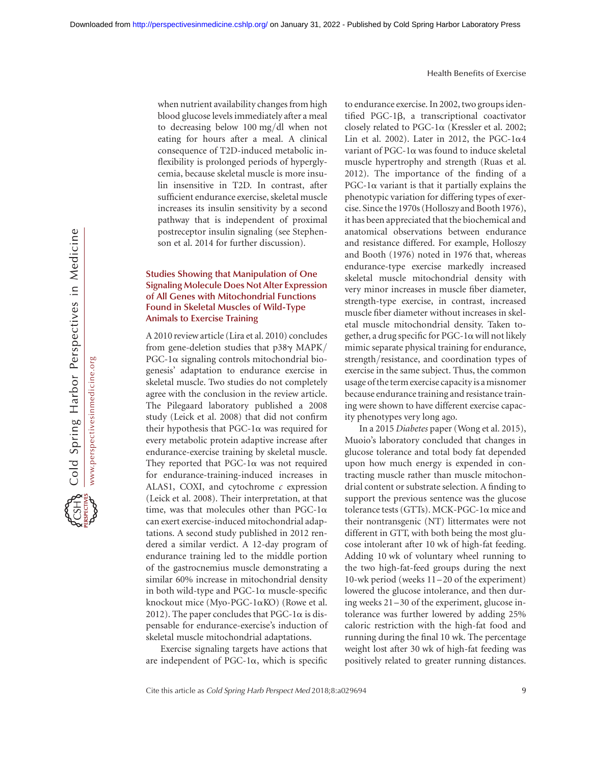Cold Spring Harbor Perspectives in Medicine www.perspectivesinmedicine.org www.perspectivesinmedicine.org

when nutrient availability changes from high blood glucose levels immediately after a meal to decreasing below 100 mg/dl when not eating for hours after a meal. A clinical consequence of T2D-induced metabolic inflexibility is prolonged periods of hyperglycemia, because skeletal muscle is more insulin insensitive in T2D. In contrast, after sufficient endurance exercise, skeletal muscle increases its insulin sensitivity by a second pathway that is independent of proximal postreceptor insulin signaling (see Stephenson et al. 2014 for further discussion).

## Studies Showing that Manipulation of One Signaling Molecule Does Not Alter Expression of All Genes with Mitochondrial Functions Found in Skeletal Muscles of Wild-Type Animals to Exercise Training

A 2010 review article (Lira et al. 2010) concludes from gene-deletion studies that  $p38\gamma$  MAPK/  $PGC-1\alpha$  signaling controls mitochondrial biogenesis' adaptation to endurance exercise in skeletal muscle. Two studies do not completely agree with the conclusion in the review article. The Pilegaard laboratory published a 2008 study (Leick et al. 2008) that did not confirm their hypothesis that  $PGC-1\alpha$  was required for every metabolic protein adaptive increase after endurance-exercise training by skeletal muscle. They reported that  $PGC-1\alpha$  was not required for endurance-training-induced increases in ALAS1, COXI, and cytochrome  $c$  expression (Leick et al. 2008). Their interpretation, at that time, was that molecules other than PGC-1 $\alpha$ can exert exercise-induced mitochondrial adaptations. A second study published in 2012 rendered a similar verdict. A 12-day program of endurance training led to the middle portion of the gastrocnemius muscle demonstrating a similar 60% increase in mitochondrial density in both wild-type and  $PGC-1\alpha$  muscle-specific knockout mice (Myo-PGC-1 $\alpha$ KO) (Rowe et al. 2012). The paper concludes that  $PGC-1\alpha$  is dispensable for endurance-exercise's induction of skeletal muscle mitochondrial adaptations.

Exercise signaling targets have actions that are independent of PGC-1 $\alpha$ , which is specific to endurance exercise. In 2002, two groups identified PGC-1b, a transcriptional coactivator closely related to PGC-1 $\alpha$  (Kressler et al. 2002; Lin et al. 2002). Later in 2012, the PGC-1 $\alpha$ 4 variant of PGC-1a was found to induce skeletal muscle hypertrophy and strength (Ruas et al. 2012). The importance of the finding of a  $PGC-1\alpha$  variant is that it partially explains the phenotypic variation for differing types of exercise. Since the 1970s (Holloszy and Booth 1976), it has been appreciated that the biochemical and anatomical observations between endurance and resistance differed. For example, Holloszy and Booth (1976) noted in 1976 that, whereas endurance-type exercise markedly increased skeletal muscle mitochondrial density with very minor increases in muscle fiber diameter, strength-type exercise, in contrast, increased muscle fiber diameter without increases in skeletal muscle mitochondrial density. Taken together, a drug specific for  $PGC-1\alpha$  will not likely mimic separate physical training for endurance, strength/resistance, and coordination types of exercise in the same subject. Thus, the common usage of the term exercise capacity is amisnomer because endurance training and resistance training were shown to have different exercise capacity phenotypes very long ago.

In a 2015 Diabetes paper (Wong et al. 2015), Muoio's laboratory concluded that changes in glucose tolerance and total body fat depended upon how much energy is expended in contracting muscle rather than muscle mitochondrial content or substrate selection. A finding to support the previous sentence was the glucose tolerance tests (GTTs). MCK-PGC-1a mice and their nontransgenic (NT) littermates were not different in GTT, with both being the most glucose intolerant after 10 wk of high-fat feeding. Adding 10 wk of voluntary wheel running to the two high-fat-feed groups during the next 10-wk period (weeks 11 –20 of the experiment) lowered the glucose intolerance, and then during weeks 21 –30 of the experiment, glucose intolerance was further lowered by adding 25% caloric restriction with the high-fat food and running during the final 10 wk. The percentage weight lost after 30 wk of high-fat feeding was positively related to greater running distances.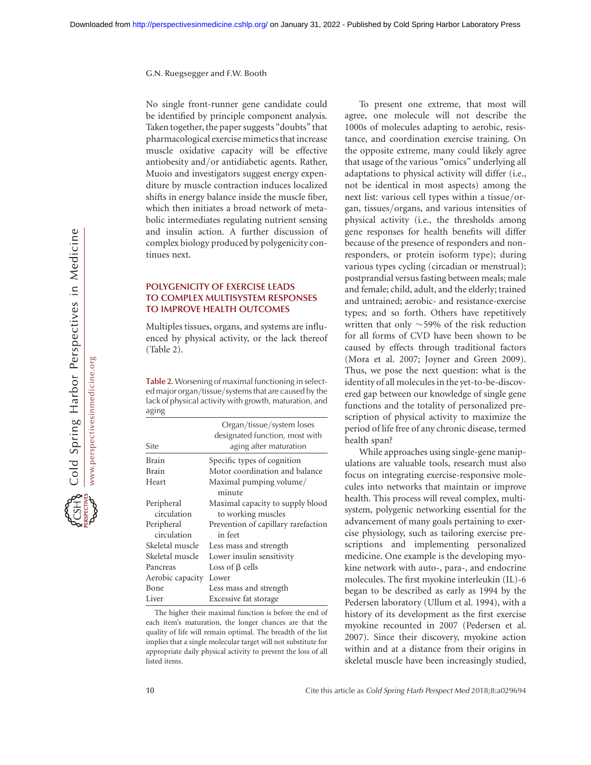No single front-runner gene candidate could be identified by principle component analysis. Taken together, the paper suggests "doubts" that pharmacological exercise mimetics that increase muscle oxidative capacity will be effective antiobesity and/or antidiabetic agents. Rather, Muoio and investigators suggest energy expenditure by muscle contraction induces localized shifts in energy balance inside the muscle fiber, which then initiates a broad network of metabolic intermediates regulating nutrient sensing and insulin action. A further discussion of complex biology produced by polygenicity continues next.

## POLYGENICITY OF EXERCISE LEADS TO COMPLEX MULTISYSTEM RESPONSES TO IMPROVE HEALTH OUTCOMES

Multiples tissues, organs, and systems are influenced by physical activity, or the lack thereof (Table 2).

Table 2. Worsening of maximal functioning in selected major organ/tissue/systems that are caused by the lack of physical activity with growth, maturation, and aging

|                  | Organ/tissue/system loses<br>designated function, most with |
|------------------|-------------------------------------------------------------|
| Site             | aging after maturation                                      |
| <b>Brain</b>     | Specific types of cognition                                 |
| <b>Brain</b>     | Motor coordination and balance                              |
| Heart            | Maximal pumping volume/                                     |
|                  | minute                                                      |
| Peripheral       | Maximal capacity to supply blood                            |
| circulation      | to working muscles                                          |
| Peripheral       | Prevention of capillary rarefaction                         |
| circulation      | in feet                                                     |
| Skeletal muscle  | Less mass and strength                                      |
| Skeletal muscle  | Lower insulin sensitivity                                   |
| Pancreas         | Loss of $\beta$ cells                                       |
| Aerobic capacity | Lower                                                       |
| Bone             | Less mass and strength                                      |
| Liver            | Excessive fat storage                                       |

The higher their maximal function is before the end of each item's maturation, the longer chances are that the quality of life will remain optimal. The breadth of the list implies that a single molecular target will not substitute for appropriate daily physical activity to prevent the loss of all listed items.

To present one extreme, that most will agree, one molecule will not describe the 1000s of molecules adapting to aerobic, resistance, and coordination exercise training. On the opposite extreme, many could likely agree that usage of the various "omics" underlying all adaptations to physical activity will differ (i.e., not be identical in most aspects) among the next list: various cell types within a tissue/organ, tissues/organs, and various intensities of physical activity (i.e., the thresholds among gene responses for health benefits will differ because of the presence of responders and nonresponders, or protein isoform type); during various types cycling (circadian or menstrual); postprandial versus fasting between meals; male and female; child, adult, and the elderly; trained and untrained; aerobic- and resistance-exercise types; and so forth. Others have repetitively written that only  $\sim$  59% of the risk reduction for all forms of CVD have been shown to be caused by effects through traditional factors (Mora et al. 2007; Joyner and Green 2009). Thus, we pose the next question: what is the identity of all molecules in the yet-to-be-discovered gap between our knowledge of single gene functions and the totality of personalized prescription of physical activity to maximize the period of life free of any chronic disease, termed health span?

While approaches using single-gene manipulations are valuable tools, research must also focus on integrating exercise-responsive molecules into networks that maintain or improve health. This process will reveal complex, multisystem, polygenic networking essential for the advancement of many goals pertaining to exercise physiology, such as tailoring exercise prescriptions and implementing personalized medicine. One example is the developing myokine network with auto-, para-, and endocrine molecules. The first myokine interleukin (IL)-6 began to be described as early as 1994 by the Pedersen laboratory (Ullum et al. 1994), with a history of its development as the first exercise myokine recounted in 2007 (Pedersen et al. 2007). Since their discovery, myokine action within and at a distance from their origins in skeletal muscle have been increasingly studied,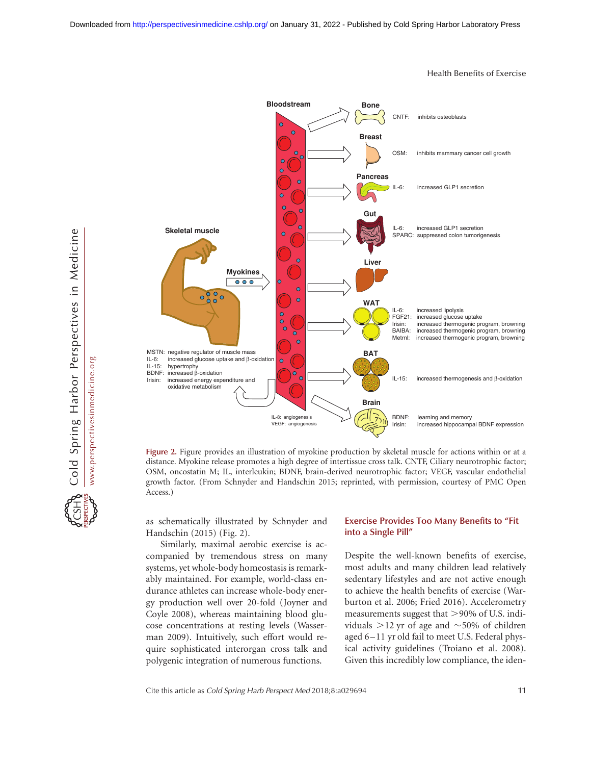

Health Benefits of Exercise

Figure 2. Figure provides an illustration of myokine production by skeletal muscle for actions within or at a distance. Myokine release promotes a high degree of intertissue cross talk. CNTF, Ciliary neurotrophic factor; OSM, oncostatin M; IL, interleukin; BDNF, brain-derived neurotrophic factor; VEGF, vascular endothelial growth factor. (From Schnyder and Handschin 2015; reprinted, with permission, courtesy of PMC Open Access.)

as schematically illustrated by Schnyder and Handschin (2015) (Fig. 2).

Similarly, maximal aerobic exercise is accompanied by tremendous stress on many systems, yet whole-body homeostasis is remarkably maintained. For example, world-class endurance athletes can increase whole-body energy production well over 20-fold (Joyner and Coyle 2008), whereas maintaining blood glucose concentrations at resting levels (Wasserman 2009). Intuitively, such effort would require sophisticated interorgan cross talk and polygenic integration of numerous functions.

## Exercise Provides Too Many Benefits to "Fit into a Single Pill"

Despite the well-known benefits of exercise, most adults and many children lead relatively sedentary lifestyles and are not active enough to achieve the health benefits of exercise (Warburton et al. 2006; Fried 2016). Accelerometry measurements suggest that  $>90\%$  of U.S. individuals  $>$ 12 yr of age and  $\sim$ 50% of children aged 6-11 yr old fail to meet U.S. Federal physical activity guidelines (Troiano et al. 2008). Given this incredibly low compliance, the iden-

Cite this article as Cold Spring Harb Perspect Med 2018;8:a029694 11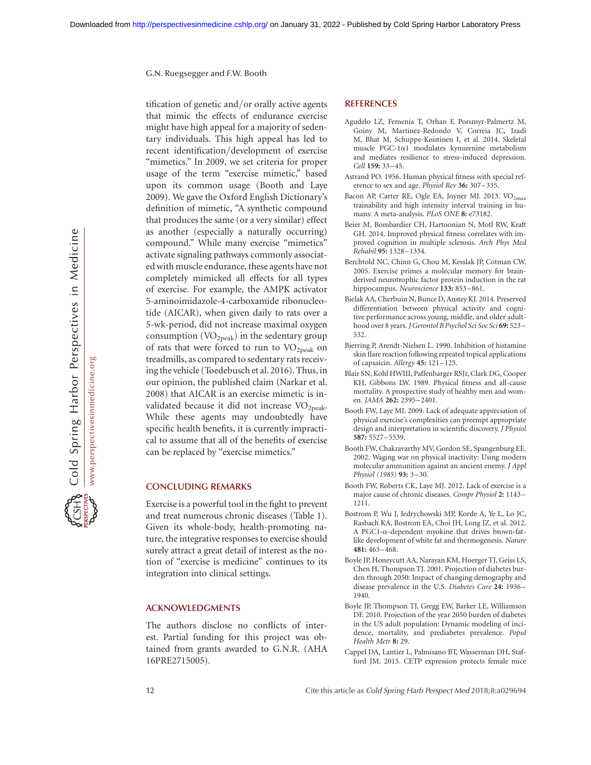tification of genetic and/or orally active agents that mimic the effects of endurance exercise might have high appeal for a majority of sedentary individuals. This high appeal has led to recent identification/development of exercise "mimetics." In 2009, we set criteria for proper usage of the term "exercise mimetic," based upon its common usage (Booth and Laye 2009). We gave the Oxford English Dictionary's definition of mimetic, "A synthetic compound that produces the same (or a very similar) effect as another (especially a naturally occurring) compound." While many exercise "mimetics" activate signaling pathways commonly associated with muscle endurance, these agents have not completely mimicked all effects for all types of exercise. For example, the AMPK activator 5-aminoimidazole-4-carboxamide ribonucleotide (AICAR), when given daily to rats over a 5-wk-period, did not increase maximal oxygen consumption  $(\rm VO_{2peak})$  in the sedentary group of rats that were forced to run to  $VO<sub>2peak</sub>$  on treadmills, as compared to sedentary rats receiving the vehicle (Toedebusch et al. 2016). Thus, in our opinion, the published claim (Narkar et al. 2008) that AICAR is an exercise mimetic is invalidated because it did not increase VO<sub>2peak</sub>. While these agents may undoubtedly have specific health benefits, it is currently impractical to assume that all of the benefits of exercise can be replaced by "exercise mimetics."

#### CONCLUDING REMARKS

Exercise is a powerful tool in the fight to prevent and treat numerous chronic diseases (Table 1). Given its whole-body, health-promoting nature, the integrative responses to exercise should surely attract a great detail of interest as the notion of "exercise is medicine" continues to its integration into clinical settings.

#### ACKNOWLEDGMENTS

The authors disclose no conflicts of interest. Partial funding for this project was obtained from grants awarded to G.N.R. (AHA 16PRE2715005).

#### **REFERENCES**

- Agudelo LZ, Femenia T, Orhan F, Porsmyr-Palmertz M, Goiny M, Martinez-Redondo V, Correia JC, Izadi M, Bhat M, Schuppe-Koistinen I, et al. 2014. Skeletal muscle PGC-1 $\alpha$ 1 modulates kynurenine metabolism and mediates resilience to stress-induced depression. Cell 159: 33–45.
- Astrand PO. 1956. Human physical fitness with special reference to sex and age. Physiol Rev 36: 307–335.
- Bacon AP, Carter RE, Ogle EA, Joyner MJ. 2013. VO<sub>2max</sub> trainability and high intensity interval training in humans: A meta-analysis. PLoS ONE 8: e73182.
- Beier M, Bombardier CH, Hartoonian N, Motl RW, Kraft GH. 2014. Improved physical fitness correlates with improved cognition in multiple sclerosis. Arch Phys Med Rehabil 95: 1328–1334.
- Berchtold NC, Chinn G, Chou M, Kesslak JP, Cotman CW. 2005. Exercise primes a molecular memory for brainderived neurotrophic factor protein induction in the rat hippocampus. Neuroscience 133: 853-861.
- Bielak AA, Cherbuin N, Bunce D, Anstey KJ. 2014. Preserved differentiation between physical activity and cognitive performance across young, middle, and older adulthood over 8 years. J Gerontol B Psychol Sci Soc Sci 69: 523-532.
- Bjerring P, Arendt-Nielsen L. 1990. Inhibition of histamine skin flare reaction following repeated topical applications of capsaicin. Allergy 45: 121–125.
- Blair SN, Kohl HWIII, Paffenbarger RSJr, Clark DG, Cooper KH, Gibbons LW. 1989. Physical fitness and all-cause mortality. A prospective study of healthy men and women. JAMA 262: 2395–2401.
- Booth FW, Laye MJ. 2009. Lack of adequate appreciation of physical exercise's complexities can preempt appropriate design and interpretation in scientific discovery. J Physiol 587: 5527–5539.
- Booth FW, Chakravarthy MV, Gordon SE, Spangenburg EE. 2002. Waging war on physical inactivity: Using modern molecular ammunition against an ancient enemy. J Appl Physiol (1985) 93: 3–30.
- Booth FW, Roberts CK, Laye MJ. 2012. Lack of exercise is a major cause of chronic diseases. Compr Physiol 2: 1143– 1211.
- Bostrom P, Wu J, Jedrychowski MP, Korde A, Ye L, Lo JC, Rasbach KA, Bostrom EA, Choi JH, Long JZ, et al. 2012. A PGC1-a-dependent myokine that drives brown-fatlike development of white fat and thermogenesis. Nature 481: 463–468.
- Boyle JP, Honeycutt AA, Narayan KM, Hoerger TJ, Geiss LS, Chen H, Thompson TJ. 2001. Projection of diabetes burden through 2050: Impact of changing demography and disease prevalence in the U.S. Diabetes Care 24: 1936– 1940.
- Boyle JP, Thompson TJ, Gregg EW, Barker LE, Williamson DF. 2010. Projection of the year 2050 burden of diabetes in the US adult population: Dynamic modeling of incidence, mortality, and prediabetes prevalence. Popul Health Metr 8: 29.
- Cappel DA, Lantier L, Palmisano BT, Wasserman DH, Stafford JM. 2015. CETP expression protects female mice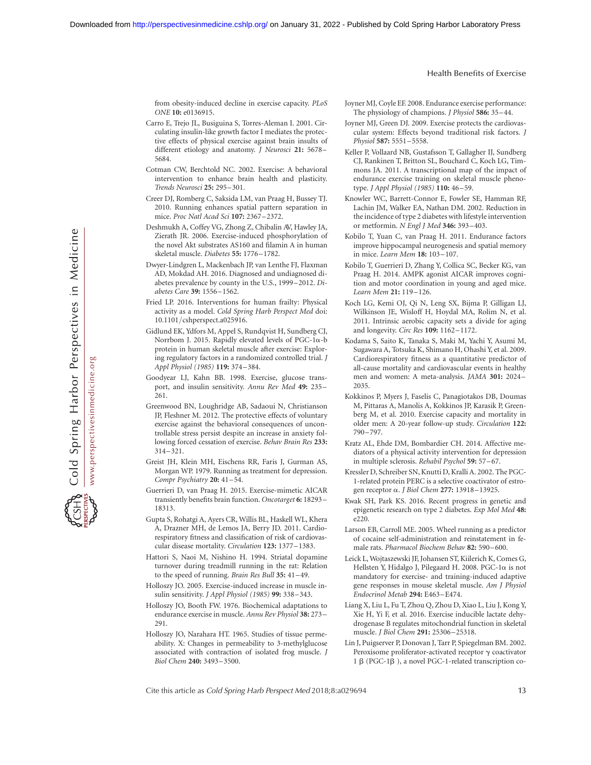from obesity-induced decline in exercise capacity. PLoS ONE 10: e0136915.

- Carro E, Trejo JL, Busiguina S, Torres-Aleman I. 2001. Circulating insulin-like growth factor I mediates the protective effects of physical exercise against brain insults of different etiology and anatomy. J Neurosci 21: 5678– 5684.
- Cotman CW, Berchtold NC. 2002. Exercise: A behavioral intervention to enhance brain health and plasticity. Trends Neurosci 25: 295–301.
- Creer DJ, Romberg C, Saksida LM, van Praag H, Bussey TJ. 2010. Running enhances spatial pattern separation in mice. Proc Natl Acad Sci 107: 2367–2372.
- Deshmukh A, Coffey VG, Zhong Z, Chibalin AV, Hawley JA, Zierath JR. 2006. Exercise-induced phosphorylation of the novel Akt substrates AS160 and filamin A in human skeletal muscle. Diabetes 55: 1776–1782.
- Dwyer-Lindgren L, Mackenbach JP, van Lenthe FJ, Flaxman AD, Mokdad AH. 2016. Diagnosed and undiagnosed diabetes prevalence by county in the U.S., 1999–2012. Diabetes Care 39: 1556–1562.
- Fried LP. 2016. Interventions for human frailty: Physical activity as a model. Cold Spring Harb Perspect Med doi: 10.1101/cshperspect.a025916.
- Gidlund EK, Ydfors M, Appel S, Rundqvist H, Sundberg CJ, Norrbom J. 2015. Rapidly elevated levels of PGC-1 $\alpha$ -b protein in human skeletal muscle after exercise: Exploring regulatory factors in a randomized controlled trial. J Appl Physiol (1985) 119: 374–384.
- Goodyear LJ, Kahn BB. 1998. Exercise, glucose transport, and insulin sensitivity. Annu Rev Med 49: 235– 261.
- Greenwood BN, Loughridge AB, Sadaoui N, Christianson JP, Fleshner M. 2012. The protective effects of voluntary exercise against the behavioral consequences of uncontrollable stress persist despite an increase in anxiety following forced cessation of exercise. Behav Brain Res 233: 314–321.
- Greist JH, Klein MH, Eischens RR, Faris J, Gurman AS, Morgan WP. 1979. Running as treatment for depression. Compr Psychiatry 20: 41–54.
- Guerrieri D, van Praag H. 2015. Exercise-mimetic AICAR transiently benefits brain function. Oncotarget 6: 18293-18313.
- Gupta S, Rohatgi A, Ayers CR, Willis BL, Haskell WL, Khera A, Drazner MH, de Lemos JA, Berry JD. 2011. Cardiorespiratory fitness and classification of risk of cardiovascular disease mortality. Circulation 123: 1377–1383.
- Hattori S, Naoi M, Nishino H. 1994. Striatal dopamine turnover during treadmill running in the rat: Relation to the speed of running. Brain Res Bull 35: 41-49.
- Holloszy JO. 2005. Exercise-induced increase in muscle insulin sensitivity. J Appl Physiol (1985) 99: 338-343.
- Holloszy JO, Booth FW. 1976. Biochemical adaptations to endurance exercise in muscle. Annu Rev Physiol 38: 273 – 291.
- Holloszy JO, Narahara HT. 1965. Studies of tissue permeability. X: Changes in permeability to 3-methylglucose associated with contraction of isolated frog muscle. J Biol Chem 240: 3493–3500.

Joyner MJ, Coyle EF. 2008. Endurance exercise performance: The physiology of champions. J Physiol 586: 35–44.

- Joyner MJ, Green DJ. 2009. Exercise protects the cardiovascular system: Effects beyond traditional risk factors. J Physiol 587: 5551–5558.
- Keller P, Vollaard NB, Gustafsson T, Gallagher IJ, Sundberg CJ, Rankinen T, Britton SL, Bouchard C, Koch LG, Timmons JA. 2011. A transcriptional map of the impact of endurance exercise training on skeletal muscle phenotype. J Appl Physiol (1985) 110: 46–59.
- Knowler WC, Barrett-Connor E, Fowler SE, Hamman RF, Lachin JM, Walker EA, Nathan DM. 2002. Reduction in the incidence of type 2 diabetes with lifestyle intervention or metformin. N Engl J Med 346: 393-403.
- Kobilo T, Yuan C, van Praag H. 2011. Endurance factors improve hippocampal neurogenesis and spatial memory in mice. Learn Mem 18: 103 –107.
- Kobilo T, Guerrieri D, Zhang Y, Collica SC, Becker KG, van Praag H. 2014. AMPK agonist AICAR improves cognition and motor coordination in young and aged mice. Learn Mem 21: 119 –126.
- Koch LG, Kemi OJ, Qi N, Leng SX, Bijma P, Gilligan LJ, Wilkinson JE, Wisloff H, Hoydal MA, Rolim N, et al. 2011. Intrinsic aerobic capacity sets a divide for aging and longevity. Circ Res 109: 1162–1172.
- Kodama S, Saito K, Tanaka S, Maki M, Yachi Y, Asumi M, Sugawara A, Totsuka K, Shimano H, Ohashi Y, et al. 2009. Cardiorespiratory fitness as a quantitative predictor of all-cause mortality and cardiovascular events in healthy men and women: A meta-analysis. JAMA 301: 2024– 2035.
- Kokkinos P, Myers J, Faselis C, Panagiotakos DB, Doumas M, Pittaras A, Manolis A, Kokkinos JP, Karasik P, Greenberg M, et al. 2010. Exercise capacity and mortality in older men: A 20-year follow-up study. Circulation 122: 790 –797.
- Kratz AL, Ehde DM, Bombardier CH. 2014. Affective mediators of a physical activity intervention for depression in multiple sclerosis. Rehabil Psychol 59: 57–67.
- Kressler D, Schreiber SN, Knutti D, Kralli A. 2002. The PGC-1-related protein PERC is a selective coactivator of estrogen receptor a. J Biol Chem 277: 13918–13925.
- Kwak SH, Park KS. 2016. Recent progress in genetic and epigenetic research on type 2 diabetes. Exp Mol Med 48: e220.
- Larson EB, Carroll ME. 2005. Wheel running as a predictor of cocaine self-administration and reinstatement in female rats. Pharmacol Biochem Behav 82: 590–600.
- Leick L, Wojtaszewski JF, Johansen ST, Kiilerich K, Comes G, Hellsten Y, Hidalgo J, Pilegaard H. 2008. PGC-1a is not mandatory for exercise- and training-induced adaptive gene responses in mouse skeletal muscle. Am J Physiol Endocrinol Metab 294: E463–E474.
- Liang X, Liu L, Fu T, Zhou Q, Zhou D, Xiao L, Liu J, Kong Y, Xie H, Yi F, et al. 2016. Exercise inducible lactate dehydrogenase B regulates mitochondrial function in skeletal muscle. J Biol Chem 291: 25306–25318.
- Lin J, Puigserver P, Donovan J, Tarr P, Spiegelman BM. 2002. Peroxisome proliferator-activated receptor  $\gamma$  coactivator 1 β (PGC-1 $β$ ), a novel PGC-1-related transcription co-

Cite this article as Cold Spring Harb Perspect Med 2018;8:a029694 13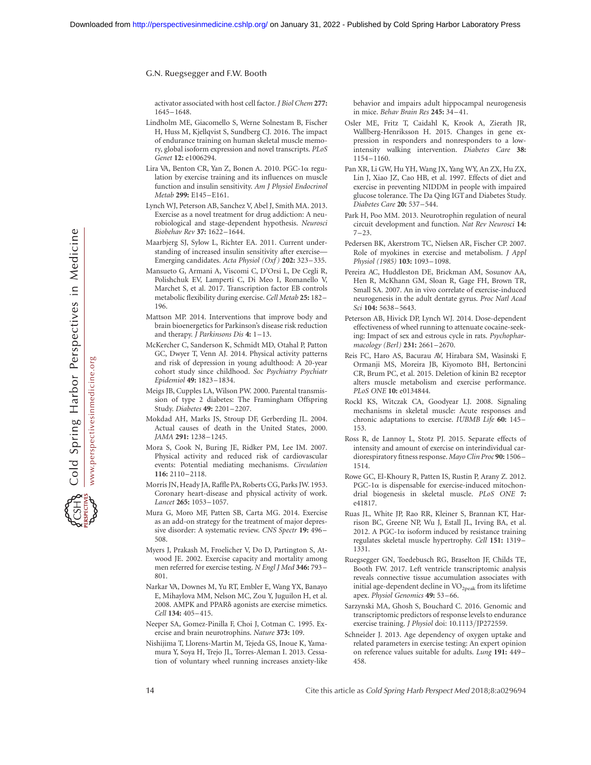activator associated with host cell factor. J Biol Chem 277: 1645–1648.

- Lindholm ME, Giacomello S, Werne Solnestam B, Fischer H, Huss M, Kjellqvist S, Sundberg CJ. 2016. The impact of endurance training on human skeletal muscle memory, global isoform expression and novel transcripts. PLoS Genet 12: e1006294.
- Lira VA, Benton CR, Yan Z, Bonen A. 2010. PGC-1a regulation by exercise training and its influences on muscle function and insulin sensitivity. Am J Physiol Endocrinol Metab 299: E145–E161.
- Lynch WJ, Peterson AB, Sanchez V, Abel J, Smith MA. 2013. Exercise as a novel treatment for drug addiction: A neurobiological and stage-dependent hypothesis. Neurosci Biobehav Rev 37: 1622–1644.
- Maarbjerg SJ, Sylow L, Richter EA. 2011. Current understanding of increased insulin sensitivity after exercise— Emerging candidates. Acta Physiol (Oxf) 202: 323-335.
- Mansueto G, Armani A, Viscomi C, D'Orsi L, De Cegli R, Polishchuk EV, Lamperti C, Di Meo I, Romanello V, Marchet S, et al. 2017. Transcription factor EB controls metabolic flexibility during exercise. Cell Metab 25: 182 – 196.
- Mattson MP. 2014. Interventions that improve body and brain bioenergetics for Parkinson's disease risk reduction and therapy. J Parkinsons Dis 4: 1–13.
- McKercher C, Sanderson K, Schmidt MD, Otahal P, Patton GC, Dwyer T, Venn AJ. 2014. Physical activity patterns and risk of depression in young adulthood: A 20-year cohort study since childhood. Soc Psychiatry Psychiatr Epidemiol 49: 1823–1834.
- Meigs JB, Cupples LA, Wilson PW. 2000. Parental transmission of type 2 diabetes: The Framingham Offspring Study. Diabetes 49: 2201–2207.
- Mokdad AH, Marks JS, Stroup DF, Gerberding JL. 2004. Actual causes of death in the United States, 2000. JAMA 291: 1238–1245.
- Mora S, Cook N, Buring JE, Ridker PM, Lee IM. 2007. Physical activity and reduced risk of cardiovascular events: Potential mediating mechanisms. Circulation 116: 2110–2118.
- Morris JN, Heady JA, Raffle PA, Roberts CG, Parks JW. 1953. Coronary heart-disease and physical activity of work. Lancet 265: 1053–1057.
- Mura G, Moro MF, Patten SB, Carta MG. 2014. Exercise as an add-on strategy for the treatment of major depressive disorder: A systematic review. CNS Spectr 19: 496-508.
- Myers J, Prakash M, Froelicher V, Do D, Partington S, Atwood JE. 2002. Exercise capacity and mortality among men referred for exercise testing. N Engl J Med 346: 793 – 801.
- Narkar VA, Downes M, Yu RT, Embler E, Wang YX, Banayo E, Mihaylova MM, Nelson MC, Zou Y, Juguilon H, et al. 2008. AMPK and PPARd agonists are exercise mimetics. Cell 134: 405–415.
- Neeper SA, Gomez-Pinilla F, Choi J, Cotman C. 1995. Exercise and brain neurotrophins. Nature 373: 109.
- Nishijima T, Llorens-Martin M, Tejeda GS, Inoue K, Yamamura Y, Soya H, Trejo JL, Torres-Aleman I. 2013. Cessation of voluntary wheel running increases anxiety-like

behavior and impairs adult hippocampal neurogenesis in mice. Behav Brain Res 245: 34–41.

- Osler ME, Fritz T, Caidahl K, Krook A, Zierath JR, Wallberg-Henriksson H. 2015. Changes in gene expression in responders and nonresponders to a lowintensity walking intervention. Diabetes Care 38: 1154–1160.
- Pan XR, Li GW, Hu YH, Wang JX, Yang WY, An ZX, Hu ZX, Lin J, Xiao JZ, Cao HB, et al. 1997. Effects of diet and exercise in preventing NIDDM in people with impaired glucose tolerance. The Da Qing IGT and Diabetes Study. Diabetes Care 20: 537–544.
- Park H, Poo MM. 2013. Neurotrophin regulation of neural circuit development and function. Nat Rev Neurosci 14:  $7 - 23$ .
- Pedersen BK, Akerstrom TC, Nielsen AR, Fischer CP. 2007. Role of myokines in exercise and metabolism. J Appl Physiol (1985) 103: 1093–1098.
- Pereira AC, Huddleston DE, Brickman AM, Sosunov AA, Hen R, McKhann GM, Sloan R, Gage FH, Brown TR, Small SA. 2007. An in vivo correlate of exercise-induced neurogenesis in the adult dentate gyrus. Proc Natl Acad Sci 104: 5638–5643.
- Peterson AB, Hivick DP, Lynch WJ. 2014. Dose-dependent effectiveness of wheel running to attenuate cocaine-seeking: Impact of sex and estrous cycle in rats. Psychopharmacology (Berl) 231: 2661–2670.
- Reis FC, Haro AS, Bacurau AV, Hirabara SM, Wasinski F, Ormanji MS, Moreira JB, Kiyomoto BH, Bertoncini CR, Brum PC, et al. 2015. Deletion of kinin B2 receptor alters muscle metabolism and exercise performance. PLoS ONE 10: e0134844.
- Rockl KS, Witczak CA, Goodyear LJ. 2008. Signaling mechanisms in skeletal muscle: Acute responses and chronic adaptations to exercise. IUBMB Life 60: 145– 153.
- Ross R, de Lannoy L, Stotz PJ. 2015. Separate effects of intensity and amount of exercise on interindividual cardiorespiratory fitness response. Mayo Clin Proc 90: 1506-1514.
- Rowe GC, El-Khoury R, Patten IS, Rustin P, Arany Z. 2012.  $PGC-1\alpha$  is dispensable for exercise-induced mitochondrial biogenesis in skeletal muscle. PLoS ONE 7: e41817.
- Ruas JL, White JP, Rao RR, Kleiner S, Brannan KT, Harrison BC, Greene NP, Wu J, Estall JL, Irving BA, et al. 2012. A PGC-1 $\alpha$  isoform induced by resistance training regulates skeletal muscle hypertrophy. Cell 151: 1319– 1331.
- Ruegsegger GN, Toedebusch RG, Braselton JF, Childs TE, Booth FW. 2017. Left ventricle transcriptomic analysis reveals connective tissue accumulation associates with initial age-dependent decline in  $\rm VO_{2peak}$  from its lifetime apex. Physiol Genomics 49: 53–66.
- Sarzynski MA, Ghosh S, Bouchard C. 2016. Genomic and transcriptomic predictors of response levels to endurance exercise training. J Physiol doi: 10.1113/JP272559.
- Schneider J. 2013. Age dependency of oxygen uptake and related parameters in exercise testing: An expert opinion on reference values suitable for adults. Lung 191: 449– 458.

14 Cite this article as Cold Spring Harb Perspect Med 2018;8:a029694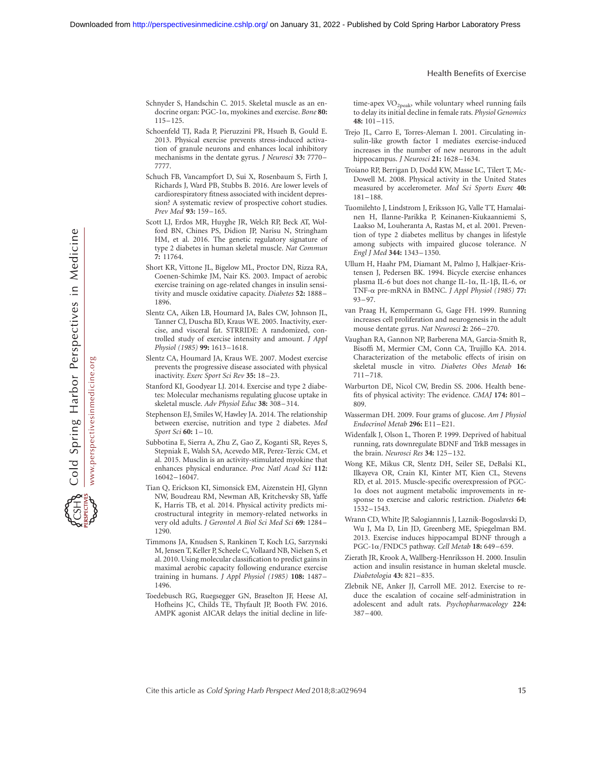- Schnyder S, Handschin C. 2015. Skeletal muscle as an endocrine organ: PGC-1a, myokines and exercise. Bone 80: 115–125.
- Schoenfeld TJ, Rada P, Pieruzzini PR, Hsueh B, Gould E. 2013. Physical exercise prevents stress-induced activation of granule neurons and enhances local inhibitory mechanisms in the dentate gyrus. J Neurosci 33: 7770-7777.
- Schuch FB, Vancampfort D, Sui X, Rosenbaum S, Firth J, Richards J, Ward PB, Stubbs B. 2016. Are lower levels of cardiorespiratory fitness associated with incident depression? A systematic review of prospective cohort studies. Prev Med 93: 159-165.
- Scott LJ, Erdos MR, Huyghe JR, Welch RP, Beck AT, Wolford BN, Chines PS, Didion JP, Narisu N, Stringham HM, et al. 2016. The genetic regulatory signature of type 2 diabetes in human skeletal muscle. Nat Commun 7: 11764.
- Short KR, Vittone JL, Bigelow ML, Proctor DN, Rizza RA, Coenen-Schimke JM, Nair KS. 2003. Impact of aerobic exercise training on age-related changes in insulin sensitivity and muscle oxidative capacity. Diabetes 52: 1888– 1896.
- Slentz CA, Aiken LB, Houmard JA, Bales CW, Johnson JL, Tanner CJ, Duscha BD, Kraus WE. 2005. Inactivity, exercise, and visceral fat. STRRIDE: A randomized, controlled study of exercise intensity and amount. J Appl Physiol (1985) 99: 1613–1618.
- Slentz CA, Houmard JA, Kraus WE. 2007. Modest exercise prevents the progressive disease associated with physical inactivity. Exerc Sport Sci Rev 35: 18–23.
- Stanford KI, Goodyear LJ. 2014. Exercise and type 2 diabetes: Molecular mechanisms regulating glucose uptake in skeletal muscle. Adv Physiol Educ 38: 308–314.
- Stephenson EJ, Smiles W, Hawley JA. 2014. The relationship between exercise, nutrition and type 2 diabetes. Med Sport Sci 60: 1-10.
- Subbotina E, Sierra A, Zhu Z, Gao Z, Koganti SR, Reyes S, Stepniak E, Walsh SA, Acevedo MR, Perez-Terzic CM, et al. 2015. Musclin is an activity-stimulated myokine that enhances physical endurance. Proc Natl Acad Sci 112: 16042–16047.
- Tian Q, Erickson KI, Simonsick EM, Aizenstein HJ, Glynn NW, Boudreau RM, Newman AB, Kritchevsky SB, Yaffe K, Harris TB, et al. 2014. Physical activity predicts microstructural integrity in memory-related networks in very old adults. J Gerontol A Biol Sci Med Sci 69: 1284– 1290.
- Timmons JA, Knudsen S, Rankinen T, Koch LG, Sarzynski M, Jensen T, Keller P, Scheele C, Vollaard NB, Nielsen S, et al. 2010. Using molecular classification to predict gains in maximal aerobic capacity following endurance exercise training in humans. J Appl Physiol (1985) 108: 1487– 1496.
- Toedebusch RG, Ruegsegger GN, Braselton JF, Heese AJ, Hofheins JC, Childs TE, Thyfault JP, Booth FW. 2016. AMPK agonist AICAR delays the initial decline in life-

time-apex  $\rm VO_{2peak}$ , while voluntary wheel running fails to delay its initial decline in female rats. Physiol Genomics 48: 101–115.

- Trejo JL, Carro E, Torres-Aleman I. 2001. Circulating insulin-like growth factor I mediates exercise-induced increases in the number of new neurons in the adult hippocampus. J Neurosci 21: 1628-1634.
- Troiano RP, Berrigan D, Dodd KW, Masse LC, Tilert T, Mc-Dowell M. 2008. Physical activity in the United States measured by accelerometer. Med Sci Sports Exerc 40: 181 –188.
- Tuomilehto J, Lindstrom J, Eriksson JG, Valle TT, Hamalainen H, Ilanne-Parikka P, Keinanen-Kiukaanniemi S, Laakso M, Louheranta A, Rastas M, et al. 2001. Prevention of type 2 diabetes mellitus by changes in lifestyle among subjects with impaired glucose tolerance. N Engl J Med 344: 1343–1350.
- Ullum H, Haahr PM, Diamant M, Palmo J, Halkjaer-Kristensen J, Pedersen BK. 1994. Bicycle exercise enhances plasma IL-6 but does not change IL-1 $\alpha$ , IL-1 $\beta$ , IL-6, or TNF-a pre-mRNA in BMNC. J Appl Physiol (1985) 77: 93–97.
- van Praag H, Kempermann G, Gage FH. 1999. Running increases cell proliferation and neurogenesis in the adult mouse dentate gyrus. Nat Neurosci 2: 266–270.
- Vaughan RA, Gannon NP, Barberena MA, Garcia-Smith R, Bisoffi M, Mermier CM, Conn CA, Trujillo KA. 2014. Characterization of the metabolic effects of irisin on skeletal muscle in vitro. Diabetes Obes Metab 16: 711 –718.
- Warburton DE, Nicol CW, Bredin SS. 2006. Health benefits of physical activity: The evidence. CMAJ 174: 801– 809.
- Wasserman DH. 2009. Four grams of glucose. Am J Physiol Endocrinol Metab 296: E11–E21.
- Widenfalk J, Olson L, Thoren P. 1999. Deprived of habitual running, rats downregulate BDNF and TrkB messages in the brain. Neurosci Res 34: 125–132.
- Wong KE, Mikus CR, Slentz DH, Seiler SE, DeBalsi KL, Ilkayeva OR, Crain KI, Kinter MT, Kien CL, Stevens RD, et al. 2015. Muscle-specific overexpression of PGC- $1\alpha$  does not augment metabolic improvements in response to exercise and caloric restriction. Diabetes 64: 1532–1543.
- Wrann CD, White JP, Salogiannnis J, Laznik-Bogoslavski D, Wu J, Ma D, Lin JD, Greenberg ME, Spiegelman BM. 2013. Exercise induces hippocampal BDNF through a PGC-1 $\alpha$ /FNDC5 pathway. Cell Metab 18: 649–659.
- Zierath JR, Krook A, Wallberg-Henriksson H. 2000. Insulin action and insulin resistance in human skeletal muscle. Diabetologia 43: 821–835.
- Zlebnik NE, Anker JJ, Carroll ME. 2012. Exercise to reduce the escalation of cocaine self-administration in adolescent and adult rats. Psychopharmacology 224:  $387 - 400.$

Cite this article as Cold Spring Harb Perspect Med 2018;8:a029694 15